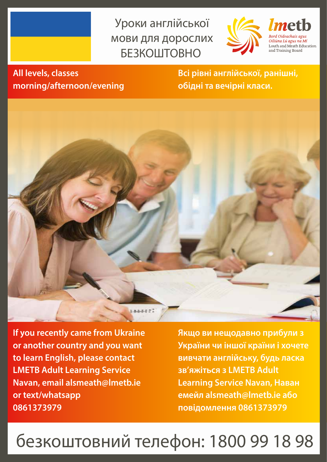## Уроки англійської мови для дорослих БЕЗКОШТОВНО



## **All levels, classes morning/afternoon/evening**

**Всі рівні англійської, ранішні, обідні та вечірні класи.** 



**If you recently came from Ukraine or another country and you want to learn English, please contact LMETB Adult Learning Service Navan, email alsmeath@lmetb.ie or text/whatsapp 0861373979** 

**Якщо ви нещодавно прибули з України чи іншої країни і хочете вивчати англійську, будь ласка зв'яжіться з LMETB Adult Learning Service Navan, Наван емейл alsmeath@lmetb.ie або повідомлення 0861373979** 

## безкоштовний телефон: 1800 99 18 98